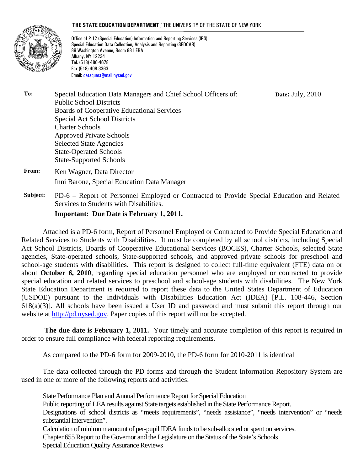#### **THE STATE EDUCATION DEPARTMENT** / THE UNIVERSITY OF THE STATE OF NEW YORK



Office of P-12 (Special Education) Information and Reporting Services (IRS) Special Education Data Collection, Analysis and Reporting (SEDCAR) 89 Washington Avenue, Room 881 EBA Albany, NY 12234 Tel. (518) 486-4678 Fax (518) 408-3363 Email: dataquest@mail.nysed.gov

**To:** Special Education Data Managers and Chief School Officers of: Public School Districts Boards of Cooperative Educational Services Special Act School Districts Charter Schools Approved Private Schools Selected State Agencies State-Operated Schools State-Supported Schools

- **From:** Ken Wagner, Data Director Inni Barone, Special Education Data Manager
- **Subject:** PD-6 Report of Personnel Employed or Contracted to Provide Special Education and Related Services to Students with Disabilities.

**Date:** July, 2010

#### **Important: Due Date is February 1, 2011.**

Attached is a PD-6 form, Report of Personnel Employed or Contracted to Provide Special Education and Related Services to Students with Disabilities. It must be completed by all school districts, including Special Act School Districts, Boards of Cooperative Educational Services (BOCES), Charter Schools, selected State agencies, State-operated schools, State-supported schools, and approved private schools for preschool and school-age students with disabilities. This report is designed to collect full-time equivalent (FTE) data on or about **October 6, 2010**, regarding special education personnel who are employed or contracted to provide special education and related services to preschool and school-age students with disabilities. The New York State Education Department is required to report these data to the United States Department of Education (USDOE) pursuant to the Individuals with Disabilities Education Act (IDEA) [P.L. 108-446, Section 618(a)(3)]. All schools have been issued a User ID and password and must submit this report through our website at http://pd.nysed.gov. Paper copies of this report will not be accepted.

**The due date is February 1, 2011.** Your timely and accurate completion of this report is required in order to ensure full compliance with federal reporting requirements.

As compared to the PD-6 form for 2009-2010, the PD-6 form for 2010-2011 is identical

The data collected through the PD forms and through the Student Information Repository System are used in one or more of the following reports and activities:

State Performance Plan and Annual Performance Report for Special Education Public reporting of LEA results against State targets established in the State Performance Report. Designations of school districts as "meets requirements", "needs assistance", "needs intervention" or "needs substantial intervention". Calculation of minimum amount of per-pupil IDEA funds to be sub-allocated or spent on services. Chapter 655 Report to the Governor and the Legislature on the Status of the State's Schools Special Education Quality Assurance Reviews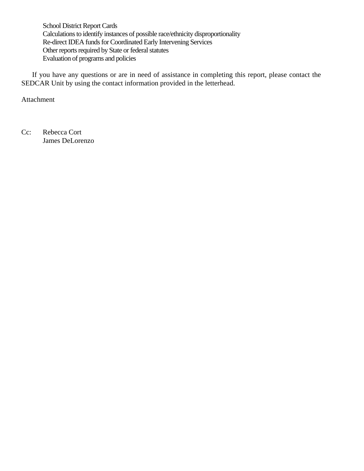School District Report Cards Calculations to identify instances of possible race/ethnicity disproportionality Re-direct IDEA funds for Coordinated Early Intervening Services Other reports required by State or federal statutes Evaluation of programs and policies

If you have any questions or are in need of assistance in completing this report, please contact the SEDCAR Unit by using the contact information provided in the letterhead.

Attachment

Cc: Rebecca Cort James DeLorenzo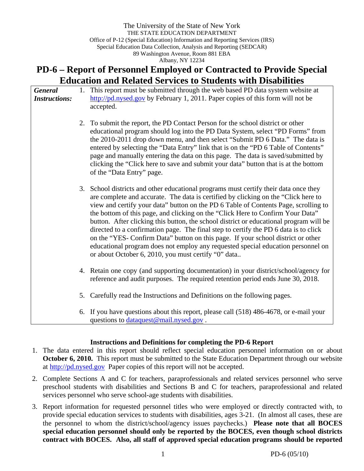# **PD-6 – Report of Personnel Employed or Contracted to Provide Special Education and Related Services to Students with Disabilities**

| <b>General</b><br><b>Instructions:</b> | 1. | This report must be submitted through the web based PD data system website at<br>$\frac{http://pd.nysed.gov}{}$ by February 1, 2011. Paper copies of this form will not be<br>accepted.                                                                                                                                                                                                                                                                                                                                                                                                                                                                                                                                                                              |
|----------------------------------------|----|----------------------------------------------------------------------------------------------------------------------------------------------------------------------------------------------------------------------------------------------------------------------------------------------------------------------------------------------------------------------------------------------------------------------------------------------------------------------------------------------------------------------------------------------------------------------------------------------------------------------------------------------------------------------------------------------------------------------------------------------------------------------|
|                                        |    | 2. To submit the report, the PD Contact Person for the school district or other<br>educational program should log into the PD Data System, select "PD Forms" from<br>the 2010-2011 drop down menu, and then select "Submit PD 6 Data." The data is<br>entered by selecting the "Data Entry" link that is on the "PD 6 Table of Contents"<br>page and manually entering the data on this page. The data is saved/submitted by<br>clicking the "Click here to save and submit your data" button that is at the bottom<br>of the "Data Entry" page.                                                                                                                                                                                                                     |
|                                        |    | 3. School districts and other educational programs must certify their data once they<br>are complete and accurate. The data is certified by clicking on the "Click here to<br>view and certify your data" button on the PD 6 Table of Contents Page, scrolling to<br>the bottom of this page, and clicking on the "Click Here to Confirm Your Data"<br>button. After clicking this button, the school district or educational program will be<br>directed to a confirmation page. The final step to certify the PD 6 data is to click<br>on the "YES- Confirm Data" button on this page. If your school district or other<br>educational program does not employ any requested special education personnel on<br>or about October 6, 2010, you must certify "0" data |
|                                        |    | 4. Retain one copy (and supporting documentation) in your district/school/agency for<br>reference and audit purposes. The required retention period ends June 30, 2018.                                                                                                                                                                                                                                                                                                                                                                                                                                                                                                                                                                                              |
|                                        |    | 5. Carefully read the Instructions and Definitions on the following pages.                                                                                                                                                                                                                                                                                                                                                                                                                                                                                                                                                                                                                                                                                           |
|                                        |    | 6. If you have questions about this report, please call (518) 486-4678, or e-mail your<br>questions to dataquest@mail.nysed.gov.                                                                                                                                                                                                                                                                                                                                                                                                                                                                                                                                                                                                                                     |

#### **Instructions and Definitions for completing the PD-6 Report**

- 1. The data entered in this report should reflect special education personnel information on or about **October 6, 2010.** This report must be submitted to the State Education Department through our website at http://pd.nysed.gov Paper copies of this report will not be accepted.
- 2. Complete Sections A and C for teachers, paraprofessionals and related services personnel who serve preschool students with disabilities and Sections B and C for teachers, paraprofessional and related services personnel who serve school-age students with disabilities.
- 3. Report information for requested personnel titles who were employed or directly contracted with, to provide special education services to students with disabilities, ages 3-21. (In almost all cases, these are the personnel to whom the district/school/agency issues paychecks.) **Please note that all BOCES special education personnel should only be reported by the BOCES, even though school districts contract with BOCES. Also, all staff of approved special education programs should be reported**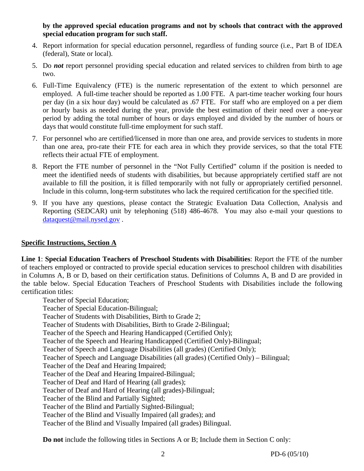**by the approved special education programs and not by schools that contract with the approved special education program for such staff.**

- 4. Report information for special education personnel, regardless of funding source (i.e., Part B of IDEA (federal), State or local).
- 5. Do *not* report personnel providing special education and related services to children from birth to age two.
- 6. Full-Time Equivalency (FTE) is the numeric representation of the extent to which personnel are employed. A full-time teacher should be reported as 1.00 FTE. A part-time teacher working four hours per day (in a six hour day) would be calculated as .67 FTE. For staff who are employed on a per diem or hourly basis as needed during the year, provide the best estimation of their need over a one-year period by adding the total number of hours or days employed and divided by the number of hours or days that would constitute full-time employment for such staff.
- 7. For personnel who are certified/licensed in more than one area, and provide services to students in more than one area, pro-rate their FTE for each area in which they provide services, so that the total FTE reflects their actual FTE of employment.
- 8. Report the FTE number of personnel in the "Not Fully Certified" column if the position is needed to meet the identified needs of students with disabilities, but because appropriately certified staff are not available to fill the position, it is filled temporarily with not fully or appropriately certified personnel. Include in this column, long-term substitutes who lack the required certification for the specified title.
- 9. If you have any questions, please contact the Strategic Evaluation Data Collection, Analysis and Reporting (SEDCAR) unit by telephoning (518) 486-4678. You may also e-mail your questions to dataquest@mail.nysed.gov .

#### **Specific Instructions, Section A**

**Line 1**: **Special Education Teachers of Preschool Students with Disabilities**: Report the FTE of the number of teachers employed or contracted to provide special education services to preschool children with disabilities in Columns A, B or D, based on their certification status. Definitions of Columns A, B and D are provided in the table below. Special Education Teachers of Preschool Students with Disabilities include the following certification titles:

Teacher of Special Education; Teacher of Special Education-Bilingual; Teacher of Students with Disabilities, Birth to Grade 2; Teacher of Students with Disabilities, Birth to Grade 2-Bilingual; Teacher of the Speech and Hearing Handicapped (Certified Only); Teacher of the Speech and Hearing Handicapped (Certified Only)-Bilingual; Teacher of Speech and Language Disabilities (all grades) (Certified Only); Teacher of Speech and Language Disabilities (all grades) (Certified Only) – Bilingual; Teacher of the Deaf and Hearing Impaired; Teacher of the Deaf and Hearing Impaired-Bilingual; Teacher of Deaf and Hard of Hearing (all grades); Teacher of Deaf and Hard of Hearing (all grades)-Bilingual; Teacher of the Blind and Partially Sighted; Teacher of the Blind and Partially Sighted-Bilingual; Teacher of the Blind and Visually Impaired (all grades); and Teacher of the Blind and Visually Impaired (all grades) Bilingual.

**Do not** include the following titles in Sections A or B; Include them in Section C only: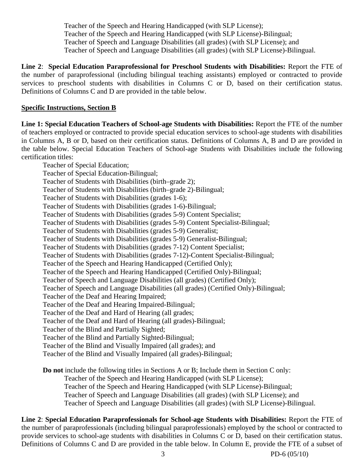Teacher of the Speech and Hearing Handicapped (with SLP License); Teacher of the Speech and Hearing Handicapped (with SLP License)-Bilingual; Teacher of Speech and Language Disabilities (all grades) (with SLP License); and Teacher of Speech and Language Disabilities (all grades) (with SLP License)-Bilingual.

**Line 2**: **Special Education Paraprofessional for Preschool Students with Disabilities:** Report the FTE of the number of paraprofessional (including bilingual teaching assistants) employed or contracted to provide services to preschool students with disabilities in Columns C or D, based on their certification status. Definitions of Columns C and D are provided in the table below.

#### **Specific Instructions, Section B**

**Line 1: Special Education Teachers of School-age Students with Disabilities:** Report the FTE of the number of teachers employed or contracted to provide special education services to school-age students with disabilities in Columns A, B or D, based on their certification status. Definitions of Columns A, B and D are provided in the table below. Special Education Teachers of School-age Students with Disabilities include the following certification titles:

Teacher of Special Education; Teacher of Special Education-Bilingual; Teacher of Students with Disabilities (birth–grade 2); Teacher of Students with Disabilities (birth–grade 2)-Bilingual; Teacher of Students with Disabilities (grades 1-6); Teacher of Students with Disabilities (grades 1-6)-Bilingual; Teacher of Students with Disabilities (grades 5-9) Content Specialist; Teacher of Students with Disabilities (grades 5-9) Content Specialist-Bilingual; Teacher of Students with Disabilities (grades 5-9) Generalist; Teacher of Students with Disabilities (grades 5-9) Generalist-Bilingual; Teacher of Students with Disabilities (grades 7-12) Content Specialist; Teacher of Students with Disabilities (grades 7-12)-Content Specialist-Bilingual; Teacher of the Speech and Hearing Handicapped (Certified Only); Teacher of the Speech and Hearing Handicapped (Certified Only)-Bilingual; Teacher of Speech and Language Disabilities (all grades) (Certified Only); Teacher of Speech and Language Disabilities (all grades) (Certified Only)-Bilingual; Teacher of the Deaf and Hearing Impaired; Teacher of the Deaf and Hearing Impaired-Bilingual; Teacher of the Deaf and Hard of Hearing (all grades; Teacher of the Deaf and Hard of Hearing (all grades)-Bilingual; Teacher of the Blind and Partially Sighted; Teacher of the Blind and Partially Sighted-Bilingual; Teacher of the Blind and Visually Impaired (all grades); and Teacher of the Blind and Visually Impaired (all grades)-Bilingual;

**Do not** include the following titles in Sections A or B; Include them in Section C only: Teacher of the Speech and Hearing Handicapped (with SLP License); Teacher of the Speech and Hearing Handicapped (with SLP License)-Bilingual; Teacher of Speech and Language Disabilities (all grades) (with SLP License); and Teacher of Speech and Language Disabilities (all grades) (with SLP License)-Bilingual.

**Line 2**: **Special Education Paraprofessionals for School-age Students with Disabilities:** Report the FTE of the number of paraprofessionals (including bilingual paraprofessionals) employed by the school or contracted to provide services to school-age students with disabilities in Columns C or D, based on their certification status. Definitions of Columns C and D are provided in the table below. In Column E, provide the FTE of a subset of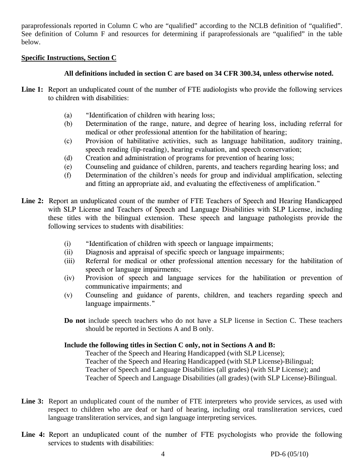paraprofessionals reported in Column C who are "qualified" according to the NCLB definition of "qualified". See definition of Column F and resources for determining if paraprofessionals are "qualified" in the table below.

#### **Specific Instructions, Section C**

## **All definitions included in section C are based on 34 CFR 300.34, unless otherwise noted.**

- Line 1: Report an unduplicated count of the number of FTE audiologists who provide the following services to children with disabilities:
	- (a) "Identification of children with hearing loss;
	- (b) Determination of the range, nature, and degree of hearing loss, including referral for medical or other professional attention for the habilitation of hearing;
	- (c) Provision of habilitative activities, such as language habilitation, auditory training, speech reading (lip-reading), hearing evaluation, and speech conservation;
	- (d) Creation and administration of programs for prevention of hearing loss;
	- (e) Counseling and guidance of children, parents, and teachers regarding hearing loss; and
	- (f) Determination of the children's needs for group and individual amplification, selecting and fitting an appropriate aid, and evaluating the effectiveness of amplification."
- **Line 2:** Report an unduplicated count of the number of FTE Teachers of Speech and Hearing Handicapped with SLP License and Teachers of Speech and Language Disabilities with SLP License, including these titles with the bilingual extension. These speech and language pathologists provide the following services to students with disabilities:
	- (i) "Identification of children with speech or language impairments;
	- (ii) Diagnosis and appraisal of specific speech or language impairments;
	- (iii) Referral for medical or other professional attention necessary for the habilitation of speech or language impairments;
	- (iv) Provision of speech and language services for the habilitation or prevention of communicative impairments; and
	- (v) Counseling and guidance of parents, children, and teachers regarding speech and language impairments."
	- **Do not** include speech teachers who do not have a SLP license in Section C. These teachers should be reported in Sections A and B only.

#### **Include the following titles in Section C only, not in Sections A and B:**

Teacher of the Speech and Hearing Handicapped (with SLP License); Teacher of the Speech and Hearing Handicapped (with SLP License)-Bilingual; Teacher of Speech and Language Disabilities (all grades) (with SLP License); and Teacher of Speech and Language Disabilities (all grades) (with SLP License)-Bilingual.

- Line 3: Report an unduplicated count of the number of FTE interpreters who provide services, as used with respect to children who are deaf or hard of hearing, including oral transliteration services, cued language transliteration services, and sign language interpreting services.
- **Line 4:** Report an unduplicated count of the number of FTE psychologists who provide the following services to students with disabilities: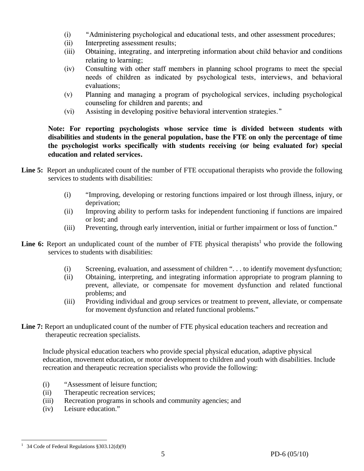- (i) "Administering psychological and educational tests, and other assessment procedures;
- (ii) Interpreting assessment results;
- (iii) Obtaining, integrating, and interpreting information about child behavior and conditions relating to learning;
- (iv) Consulting with other staff members in planning school programs to meet the special needs of children as indicated by psychological tests, interviews, and behavioral evaluations;
- (v) Planning and managing a program of psychological services, including psychological counseling for children and parents; and
- (vi) Assisting in developing positive behavioral intervention strategies."

**Note: For reporting psychologists whose service time is divided between students with disabilities and students in the general population, base the FTE on only the percentage of time the psychologist works specifically with students receiving (or being evaluated for) special education and related services.** 

- Line 5: Report an unduplicated count of the number of FTE occupational therapists who provide the following services to students with disabilities:
	- (i) "Improving, developing or restoring functions impaired or lost through illness, injury, or deprivation;
	- (ii) Improving ability to perform tasks for independent functioning if functions are impaired or lost; and
	- (iii) Preventing, through early intervention, initial or further impairment or loss of function."
- **Line 6:** Report an unduplicated count of the number of FTE physical therapists<sup>1</sup> who provide the following services to students with disabilities:
	- (i) Screening, evaluation, and assessment of children ". . . to identify movement dysfunction;
	- (ii) Obtaining, interpreting, and integrating information appropriate to program planning to prevent, alleviate, or compensate for movement dysfunction and related functional problems; and
	- (iii) Providing individual and group services or treatment to prevent, alleviate, or compensate for movement dysfunction and related functional problems."
- Line 7: Report an unduplicated count of the number of FTE physical education teachers and recreation and therapeutic recreation specialists.

Include physical education teachers who provide special physical education, adaptive physical education, movement education, or motor development to children and youth with disabilities. Include recreation and therapeutic recreation specialists who provide the following:

- (i) "Assessment of leisure function;
- (ii) Therapeutic recreation services;
- (iii) Recreation programs in schools and community agencies; and
- (iv) Leisure education."

 $\overline{a}$ <sup>1</sup> 34 Code of Federal Regulations  $§ 303.12(d)(9)$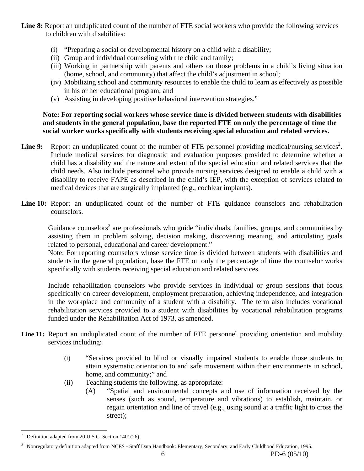- Line 8: Report an unduplicated count of the number of FTE social workers who provide the following services to children with disabilities:
	- (i) "Preparing a social or developmental history on a child with a disability;
	- (ii) Group and individual counseling with the child and family;
	- (iii) Working in partnership with parents and others on those problems in a child's living situation (home, school, and community) that affect the child's adjustment in school;
	- (iv) Mobilizing school and community resources to enable the child to learn as effectively as possible in his or her educational program; and
	- (v) Assisting in developing positive behavioral intervention strategies."

## **Note: For reporting social workers whose service time is divided between students with disabilities and students in the general population, base the reported FTE on only the percentage of time the social worker works specifically with students receiving special education and related services.**

- Line 9: Report an unduplicated count of the number of FTE personnel providing medical/nursing services<sup>2</sup>. Include medical services for diagnostic and evaluation purposes provided to determine whether a child has a disability and the nature and extent of the special education and related services that the child needs. Also include personnel who provide nursing services designed to enable a child with a disability to receive FAPE as described in the child's IEP, with the exception of services related to medical devices that are surgically implanted (e.g., cochlear implants).
- Line 10: Report an unduplicated count of the number of FTE guidance counselors and rehabilitation counselors.

Guidance counselors<sup>3</sup> are professionals who guide "individuals, families, groups, and communities by assisting them in problem solving, decision making, discovering meaning, and articulating goals related to personal, educational and career development."

Note: For reporting counselors whose service time is divided between students with disabilities and students in the general population, base the FTE on only the percentage of time the counselor works specifically with students receiving special education and related services.

 Include rehabilitation counselors who provide services in individual or group sessions that focus specifically on career development, employment preparation, achieving independence, and integration in the workplace and community of a student with a disability. The term also includes vocational rehabilitation services provided to a student with disabilities by vocational rehabilitation programs funded under the Rehabilitation Act of 1973, as amended.

- Line 11: Report an unduplicated count of the number of FTE personnel providing orientation and mobility services including:
	- (i) "Services provided to blind or visually impaired students to enable those students to attain systematic orientation to and safe movement within their environments in school, home, and community;" and
	- (ii) Teaching students the following, as appropriate:
		- (A) "Spatial and environmental concepts and use of information received by the senses (such as sound, temperature and vibrations) to establish, maintain, or regain orientation and line of travel (e.g., using sound at a traffic light to cross the street);

 $\overline{a}$ 2 Definition adapted from 20 U.S.C. Section 1401(26).

<sup>3</sup> Nonregulatory definition adapted from NCES - Staff Data Handbook: Elementary, Secondary, and Early Childhood Education, 1995.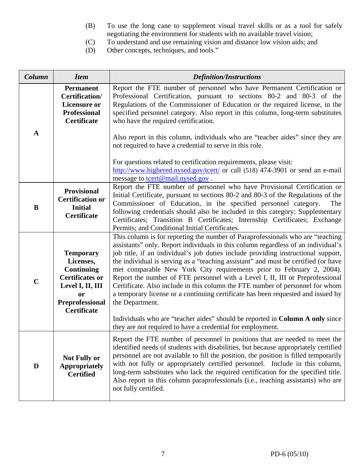- (B) To use the long cane to supplement visual travel skills or as a tool for safely negotiating the environment for students with no available travel vision;
- (C) To understand and use remaining vision and distance low vision aids; and (D) Other concepts, techniques, and tools."
- Other concepts, techniques, and tools."

| Column      | <b>Item</b>                                                                                                                                            | <b>Definition/Instructions</b>                                                                                                                                                                                                                                                                                                                                                                                                                                                                                                                                                                                                                                                                   |  |  |  |
|-------------|--------------------------------------------------------------------------------------------------------------------------------------------------------|--------------------------------------------------------------------------------------------------------------------------------------------------------------------------------------------------------------------------------------------------------------------------------------------------------------------------------------------------------------------------------------------------------------------------------------------------------------------------------------------------------------------------------------------------------------------------------------------------------------------------------------------------------------------------------------------------|--|--|--|
|             | <b>Permanent</b><br>Certification/<br><b>Licensure or</b><br><b>Professional</b><br><b>Certificate</b>                                                 | Report the FTE number of personnel who have Permanent Certification or<br>Professional Certification, pursuant to sections 80-2 and 80-3 of the<br>Regulations of the Commissioner of Education or the required license, in the<br>specified personnel category. Also report in this column, long-term substitutes<br>who have the required certification.                                                                                                                                                                                                                                                                                                                                       |  |  |  |
| A           |                                                                                                                                                        | Also report in this column, individuals who are "teacher aides" since they are<br>not required to have a credential to serve in this role.                                                                                                                                                                                                                                                                                                                                                                                                                                                                                                                                                       |  |  |  |
|             |                                                                                                                                                        | For questions related to certification requirements, please visit:<br>http://www.highered.nysed.gov/tcert/ or call (518) 474-3901 or send an e-mail<br>message to <b>tcert@mail.nysed.gov</b> .                                                                                                                                                                                                                                                                                                                                                                                                                                                                                                  |  |  |  |
| B           | <b>Provisional</b><br><b>Certification or</b><br><b>Initial</b><br><b>Certificate</b>                                                                  | Report the FTE number of personnel who have Provisional Certification or<br>Initial Certificate, pursuant to sections 80-2 and 80-3 of the Regulations of the<br>Commissioner of Education, in the specified personnel category.<br>The<br>following credentials should also be included in this category: Supplementary<br>Certificates; Transition B Certificates; Internship Certificates; Exchange<br>Permits; and Conditional Initial Certificates.                                                                                                                                                                                                                                         |  |  |  |
| $\mathbf C$ | <b>Temporary</b><br>Licenses,<br><b>Continuing</b><br><b>Certificates or</b><br>Level I, II, III<br><b>or</b><br>Preprofessional<br><b>Certificate</b> | This column is for reporting the number of Paraprofessionals who are "teaching<br>assistants" only. Report individuals in this column regardless of an individual's<br>job title, if an individual's job duties include providing instructional support,<br>the individual is serving as a "teaching assistant" and must be certified (or have<br>met comparable New York City requirements prior to February 2, 2004).<br>Report the number of FTE personnel with a Level I, II, III or Preprofessional<br>Certificate. Also include in this column the FTE number of personnel for whom<br>a temporary license or a continuing certificate has been requested and issued by<br>the Department. |  |  |  |
|             |                                                                                                                                                        | Individuals who are "teacher aides" should be reported in Column A only since<br>they are not required to have a credential for employment.                                                                                                                                                                                                                                                                                                                                                                                                                                                                                                                                                      |  |  |  |
| D           | <b>Not Fully or</b><br><b>Appropriately</b><br><b>Certified</b>                                                                                        | Report the FTE number of personnel in positions that are needed to meet the<br>identified needs of students with disabilities, but because appropriately certified<br>personnel are not available to fill the position, the position is filled temporarily<br>with not fully or appropriately certified personnel. Include in this column,<br>long-term substitutes who lack the required certification for the specified title.<br>Also report in this column paraprofessionals (i.e., teaching assistants) who are<br>not fully certified.                                                                                                                                                     |  |  |  |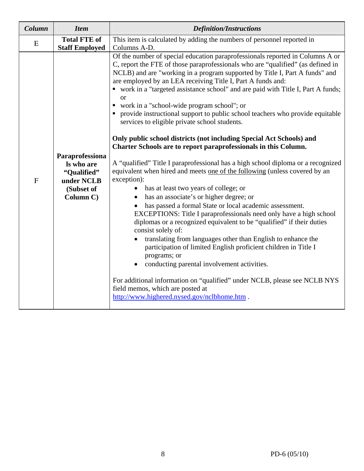| Column      | <b>Item</b>                                                                           | <b>Definition/Instructions</b>                                                                                                                                                                                                                                                                                                                                                                                                                                                                                                                                                                                                                                                                                                                                                                                                                                                                                                                                                                                                                                                                                                                                                                                                                                                                                                                                                                                                                                                                                                                                                                                                      |  |  |  |  |
|-------------|---------------------------------------------------------------------------------------|-------------------------------------------------------------------------------------------------------------------------------------------------------------------------------------------------------------------------------------------------------------------------------------------------------------------------------------------------------------------------------------------------------------------------------------------------------------------------------------------------------------------------------------------------------------------------------------------------------------------------------------------------------------------------------------------------------------------------------------------------------------------------------------------------------------------------------------------------------------------------------------------------------------------------------------------------------------------------------------------------------------------------------------------------------------------------------------------------------------------------------------------------------------------------------------------------------------------------------------------------------------------------------------------------------------------------------------------------------------------------------------------------------------------------------------------------------------------------------------------------------------------------------------------------------------------------------------------------------------------------------------|--|--|--|--|
| E           | <b>Total FTE of</b><br><b>Staff Employed</b>                                          | This item is calculated by adding the numbers of personnel reported in<br>Columns A-D.                                                                                                                                                                                                                                                                                                                                                                                                                                                                                                                                                                                                                                                                                                                                                                                                                                                                                                                                                                                                                                                                                                                                                                                                                                                                                                                                                                                                                                                                                                                                              |  |  |  |  |
| $\mathbf F$ | Paraprofessiona<br>Is who are<br>"Qualified"<br>under NCLB<br>(Subset of<br>Column C) | Of the number of special education paraprofessionals reported in Columns A or<br>C, report the FTE of those paraprofessionals who are "qualified" (as defined in<br>NCLB) and are "working in a program supported by Title I, Part A funds" and<br>are employed by an LEA receiving Title I, Part A funds and:<br>• work in a "targeted assistance school" and are paid with Title I, Part A funds;<br><b>or</b><br>• work in a "school-wide program school"; or<br>• provide instructional support to public school teachers who provide equitable<br>services to eligible private school students.<br>Only public school districts (not including Special Act Schools) and<br>Charter Schools are to report paraprofessionals in this Column.<br>A "qualified" Title I paraprofessional has a high school diploma or a recognized<br>equivalent when hired and meets one of the following (unless covered by an<br>exception):<br>has at least two years of college; or<br>$\bullet$<br>has an associate's or higher degree; or<br>has passed a formal State or local academic assessment.<br>EXCEPTIONS: Title I paraprofessionals need only have a high school<br>diplomas or a recognized equivalent to be "qualified" if their duties<br>consist solely of:<br>translating from languages other than English to enhance the<br>participation of limited English proficient children in Title I<br>programs; or<br>conducting parental involvement activities.<br>For additional information on "qualified" under NCLB, please see NCLB NYS<br>field memos, which are posted at<br>http://www.highered.nysed.gov/nclbhome.htm. |  |  |  |  |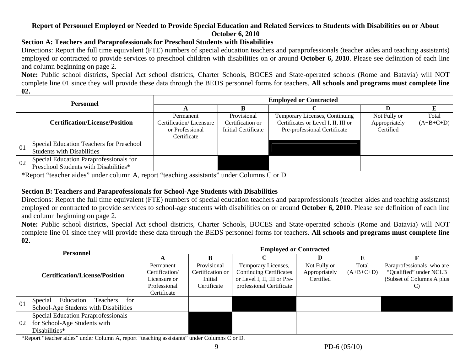#### **Report of Personnel Employed or Needed to Provide Special Education and Related Services to Students with Disabilities on or About October 6, 2010**

## **Section A: Teachers and Paraprofessionals for Preschool Students with Disabilities**

Directions: Report the full time equivalent (FTE) numbers of special education teachers and paraprofessionals (teacher aides and teaching assistants) employed or contracted to provide services to preschool children with disabilities on or around **October 6, 2010**. Please see definition of each line and column beginning on page 2.

**Note:** Public school districts, Special Act school districts, Charter Schools, BOCES and State-operated schools (Rome and Batavia) will NOT complete line 01 since they will provide these data through the BEDS personnel forms for teachers. **All schools and programs must complete line 02.**

| Personnel |                                          | <b>Employed or Contracted</b> |                     |                                     |               |             |  |  |  |
|-----------|------------------------------------------|-------------------------------|---------------------|-------------------------------------|---------------|-------------|--|--|--|
|           |                                          |                               |                     |                                     |               |             |  |  |  |
|           |                                          | Permanent                     | Provisional         | Temporary Licenses, Continuing      | Not Fully or  | Total       |  |  |  |
|           | <b>Certification/License/Position</b>    | Certification/Licensure       | Certification or    | Certificates or Level I, II, III or | Appropriately | $(A+B+C+D)$ |  |  |  |
|           |                                          | or Professional               | Initial Certificate | Pre-professional Certificate        | Certified     |             |  |  |  |
|           |                                          | Certificate                   |                     |                                     |               |             |  |  |  |
| 01        | Special Education Teachers for Preschool |                               |                     |                                     |               |             |  |  |  |
|           | <b>Students with Disabilities</b>        |                               |                     |                                     |               |             |  |  |  |
| 02        | Special Education Paraprofessionals for  |                               |                     |                                     |               |             |  |  |  |
|           | Preschool Students with Disabilities*    |                               |                     |                                     |               |             |  |  |  |

**\***Report "teacher aides" under column A, report "teaching assistants" under Columns C or D.

## **Section B: Teachers and Paraprofessionals for School-Age Students with Disabilities**

Directions: Report the full time equivalent (FTE) numbers of special education teachers and paraprofessionals (teacher aides and teaching assistants) employed or contracted to provide services to school-age students with disabilities on or around **October 6, 2010**. Please see definition of each line and column beginning on page 2.

**Note:** Public school districts, Special Act school districts, Charter Schools, BOCES and State-operated schools (Rome and Batavia) will NOT complete line 01 since they will provide these data through the BEDS personnel forms for teachers. **All schools and programs must complete line 02.**

| <b>Personnel</b> |                                                                                      | <b>Employed or Contracted</b>                                              |                                                           |                                                                                                                  |                                            |                      |                                                                                        |  |
|------------------|--------------------------------------------------------------------------------------|----------------------------------------------------------------------------|-----------------------------------------------------------|------------------------------------------------------------------------------------------------------------------|--------------------------------------------|----------------------|----------------------------------------------------------------------------------------|--|
|                  |                                                                                      |                                                                            |                                                           |                                                                                                                  |                                            |                      |                                                                                        |  |
|                  | <b>Certification/License/Position</b>                                                | Permanent<br>Certification/<br>Licensure or<br>Professional<br>Certificate | Provisional<br>Certification or<br>Initial<br>Certificate | Temporary Licenses,<br><b>Continuing Certificates</b><br>or Level I, II, III or Pre-<br>professional Certificate | Not Fully or<br>Appropriately<br>Certified | Total<br>$(A+B+C+D)$ | Paraprofessionals who are<br>"Qualified" under NCLB<br>(Subset of Columns A plus<br>C) |  |
| 01               | Special<br>Education<br>Teachers<br>for<br>School-Age Students with Disabilities     |                                                                            |                                                           |                                                                                                                  |                                            |                      |                                                                                        |  |
| 02               | Special Education Paraprofessionals<br>for School-Age Students with<br>Disabilities* |                                                                            |                                                           |                                                                                                                  |                                            |                      |                                                                                        |  |

\*Report "teacher aides" under Column A, report "teaching assistants" under Columns C or D.